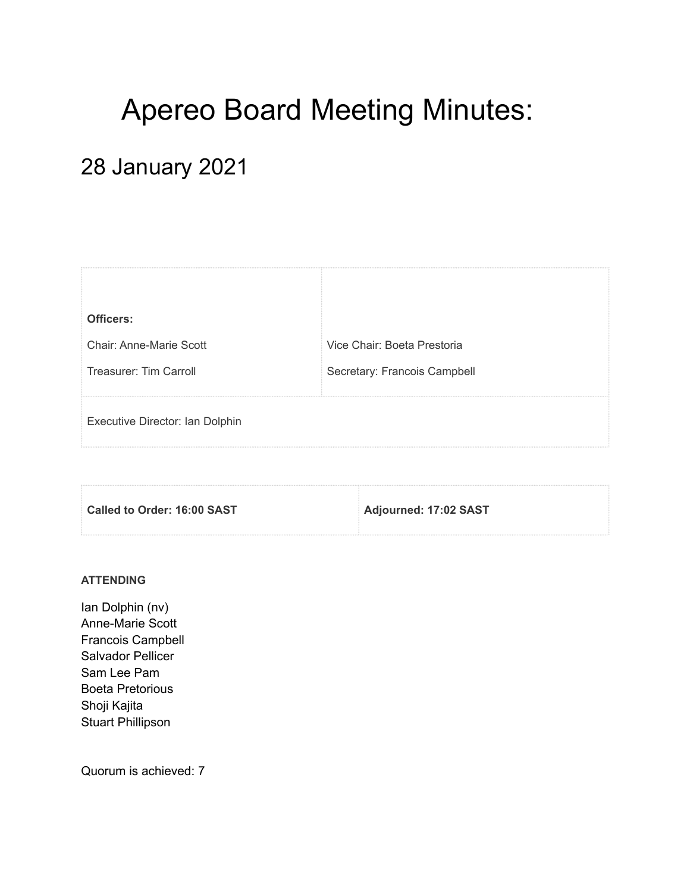# Apereo Board Meeting Minutes:

## 28 January 2021

| Officers:                       |                              |
|---------------------------------|------------------------------|
| Chair: Anne-Marie Scott         | Vice Chair: Boeta Prestoria  |
| Treasurer: Tim Carroll          | Secretary: Francois Campbell |
|                                 |                              |
| Executive Director: Ian Dolphin |                              |
| *************************       |                              |

| Called to Order: 16:00 SAST | Adjourned: 17:02 SAST |
|-----------------------------|-----------------------|
|                             |                       |

#### **ATTENDING**

Ian Dolphin (nv) Anne-Marie Scott Francois Campbell Salvador Pellicer Sam Lee Pam Boeta Pretorious Shoji Kajita Stuart Phillipson

Quorum is achieved: 7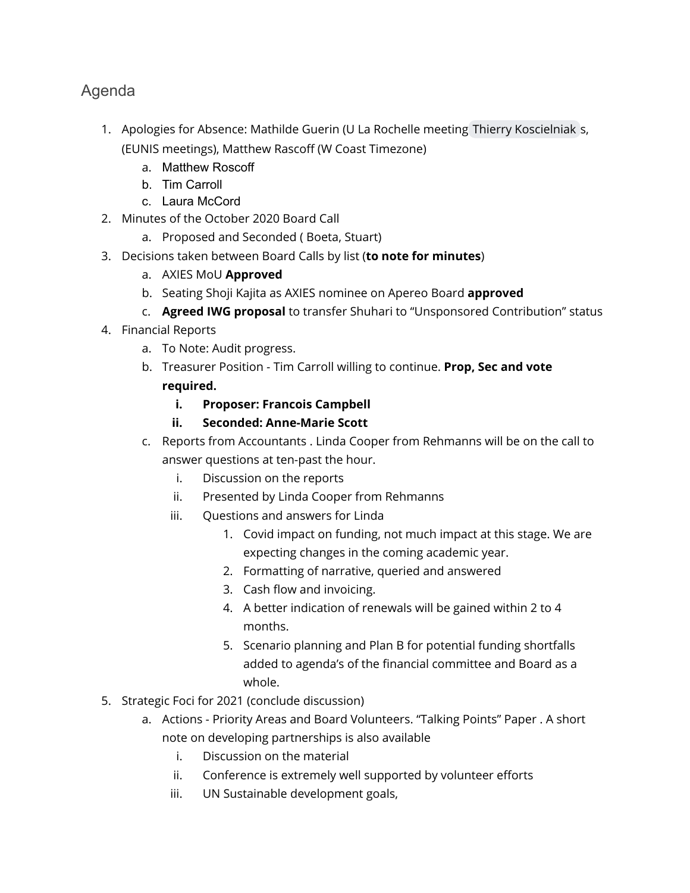## Agenda

- 1. Apologies for Absence: Mathilde Guerin (U La Rochelle meeting [Thierry Koscielniak](mailto:thierry.koscielniak@apereo.org) s, (EUNIS meetings), Matthew Rascoff (W Coast Timezone)
	- a. Matthew Roscoff
	- b. Tim Carroll
	- c. Laura McCord
- 2. Minutes of the October 2020 Board Call
	- a. Proposed and Seconded ( Boeta, Stuart)
- 3. Decisions taken between Board Calls by list (**to note for minutes**)
	- a. AXIES MoU **Approved**
	- b. Seating Shoji Kajita as AXIES nominee on Apereo Board **approved**
	- c. **Agreed IWG proposal** to transfer Shuhari to "Unsponsored Contribution" status
- 4. Financial Reports
	- a. To Note: Audit progress.
	- b. Treasurer Position Tim Carroll willing to continue. **Prop, Sec and vote required.**
		- **i. Proposer: Francois Campbell**
		- **ii. Seconded: Anne-Marie Scott**
	- c. Reports from Accountants . Linda Cooper from Rehmanns will be on the call to answer questions at ten-past the hour.
		- i. Discussion on the reports
		- ii. Presented by Linda Cooper from Rehmanns
		- iii. Questions and answers for Linda
			- 1. Covid impact on funding, not much impact at this stage. We are expecting changes in the coming academic year.
			- 2. Formatting of narrative, queried and answered
			- 3. Cash flow and invoicing.
			- 4. A better indication of renewals will be gained within 2 to 4 months.
			- 5. Scenario planning and Plan B for potential funding shortfalls added to agenda's of the financial committee and Board as a whole.
- 5. Strategic Foci for 2021 (conclude discussion)
	- a. Actions Priority Areas and Board Volunteers. "Talking Points" Paper . A short note on developing partnerships is also available
		- i. Discussion on the material
		- ii. Conference is extremely well supported by volunteer efforts
		- iii. UN Sustainable development goals,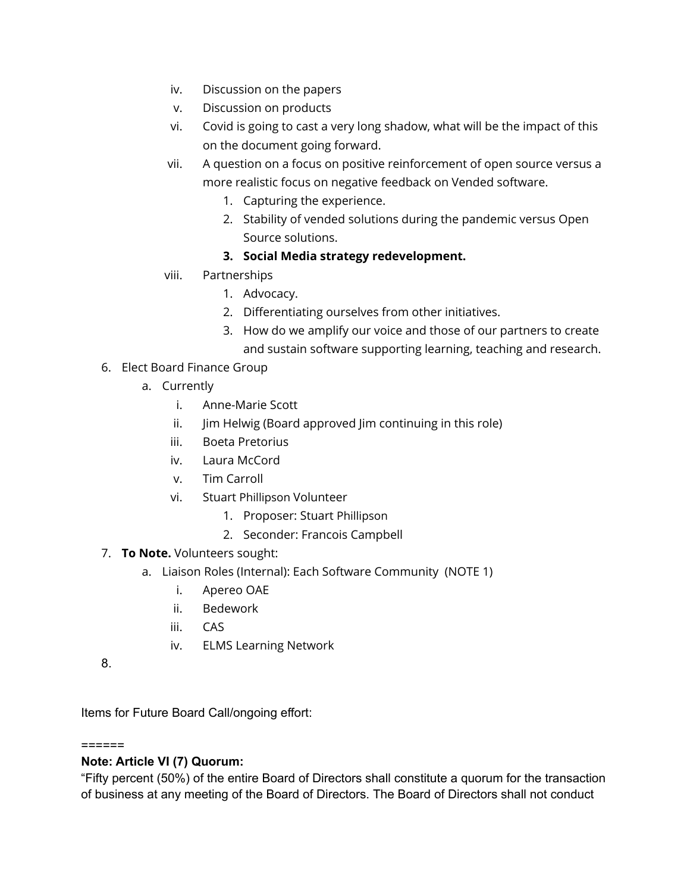- iv. Discussion on the papers
- v. Discussion on products
- vi. Covid is going to cast a very long shadow, what will be the impact of this on the document going forward.
- vii. A question on a focus on positive reinforcement of open source versus a more realistic focus on negative feedback on Vended software.
	- 1. Capturing the experience.
	- 2. Stability of vended solutions during the pandemic versus Open Source solutions.

## **3. Social Media strategy redevelopment.**

- viii. Partnerships
	- 1. Advocacy.
	- 2. Differentiating ourselves from other initiatives.
	- 3. How do we amplify our voice and those of our partners to create and sustain software supporting learning, teaching and research.
- 6. Elect Board Finance Group
	- a. Currently
		- i. Anne-Marie Scott
		- ii. Jim Helwig (Board approved Jim continuing in this role)
		- iii. Boeta Pretorius
		- iv. Laura McCord
		- v. Tim Carroll
		- vi. Stuart Phillipson Volunteer
			- 1. Proposer: Stuart Phillipson
			- 2. Seconder: Francois Campbell
- 7. **To Note.** Volunteers sought:
	- a. Liaison Roles (Internal): Each Software Community (NOTE 1)
		- i. Apereo OAE
		- ii. Bedework
		- iii. CAS
		- iv. ELMS Learning Network
- 8.

Items for Future Board Call/ongoing effort:

### ======

## **Note: Article VI (7) Quorum:**

"Fifty percent (50%) of the entire Board of Directors shall constitute a quorum for the transaction of business at any meeting of the Board of Directors. The Board of Directors shall not conduct